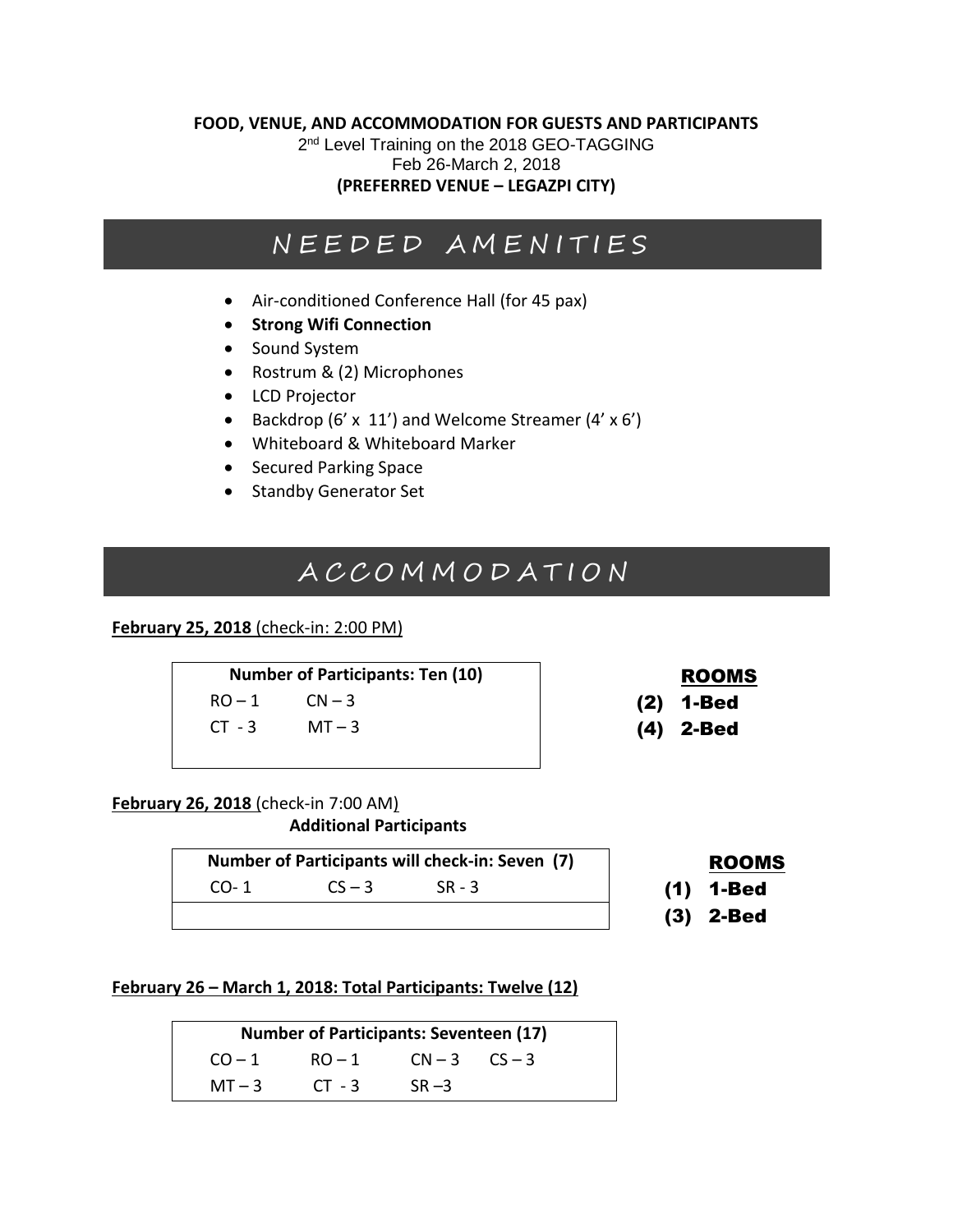#### **FOOD, VENUE, AND ACCOMMODATION FOR GUESTS AND PARTICIPANTS**

2<sup>nd</sup> Level Training on the 2018 GEO-TAGGING Feb 26-March 2, 2018 **(PREFERRED VENUE – LEGAZPI CITY)**

# N E E D E D A M E N I T I E S

- Air-conditioned Conference Hall (for 45 pax)
- **Strong Wifi Connection**
- Sound System
- Rostrum & (2) Microphones
- LCD Projector
- Backdrop (6' x 11') and Welcome Streamer (4' x 6')
- Whiteboard & Whiteboard Marker
- Secured Parking Space
- Standby Generator Set

# A C C O M M O D A T I O N

#### **February 25, 2018** (check-in: 2:00 PM)

Number of Participants: Ten (10) and ROOMS  $RO-1$   $CN-3$  (2) 1-Bed  $CT - 3$   $MT - 3$  (4) 2-Bed

- 
- 

#### **February 26, 2018** (check-in 7:00 AM) **Additional Participants**

**Number of Participants will check-in: Seven (7) | ROOMS** 

 $CO-1$   $CS-3$   $SR-3$  (1) 1-Bed

- 
- 
- (3) 2-Bed

**February 26 – March 1, 2018: Total Participants: Twelve (12)**

**Number of Participants: Seventeen (17)**  $CO-1$  RO-1  $CN-3$   $CS-3$  $MT - 3$   $CT - 3$   $SR - 3$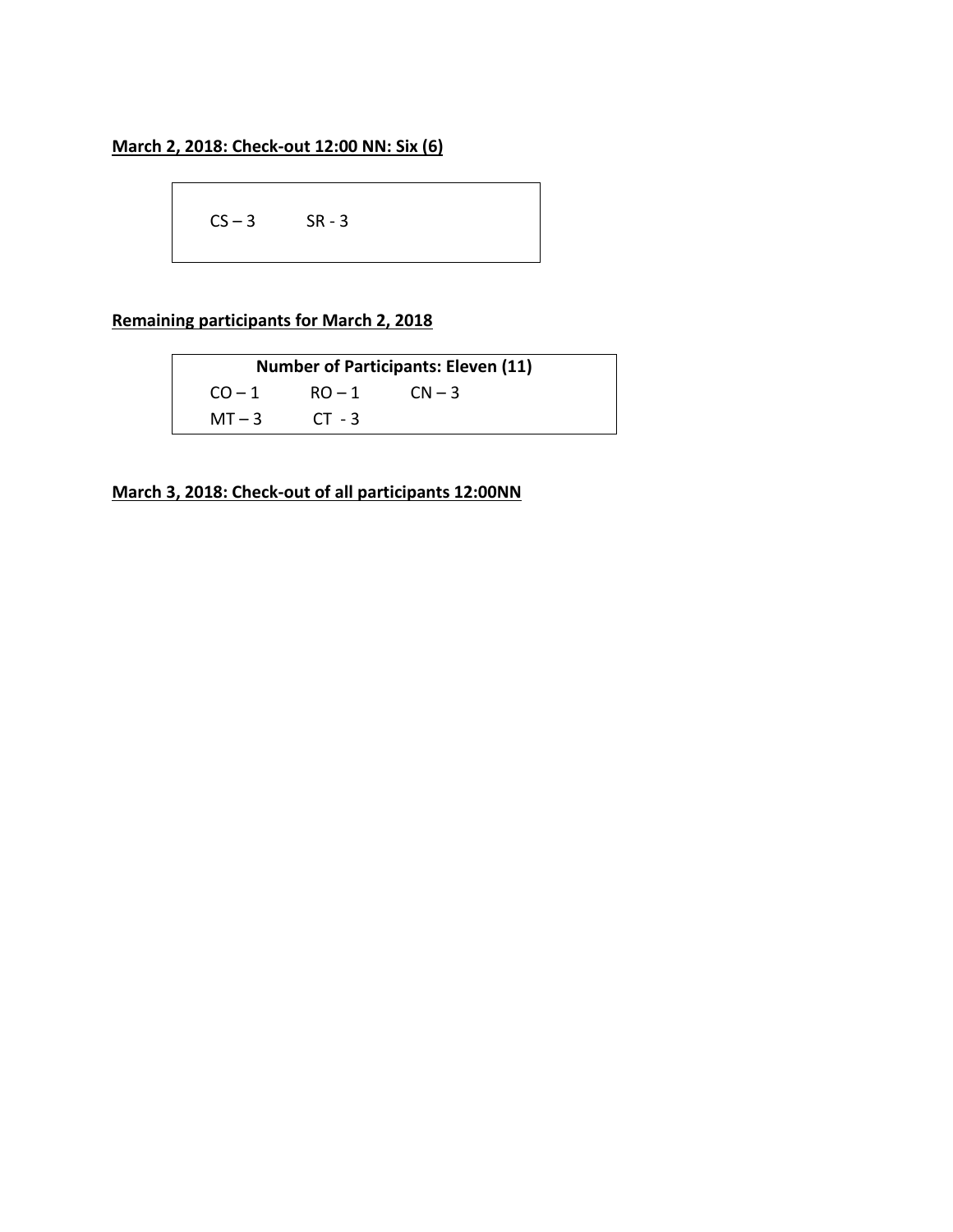$CS - 3$  SR - 3

## **Remaining participants for March 2, 2018**

**Number of Participants: Eleven (11)**  $CO-1$  RO-1  $CN-3$  $MT - 3$   $CT - 3$ 

**March 3, 2018: Check-out of all participants 12:00NN**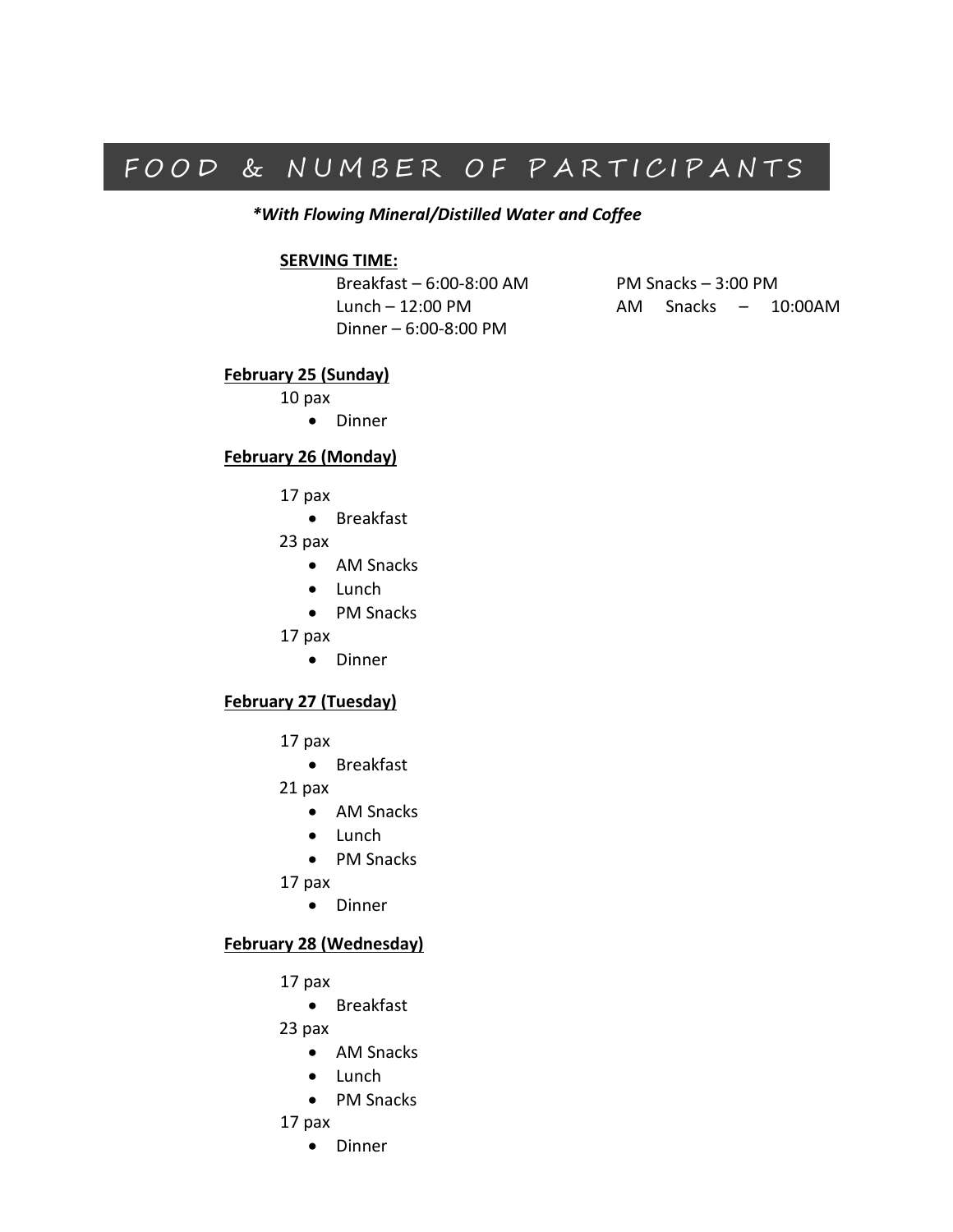# FOOD & NUMBER OF PARTICIPANTS

*\*With Flowing Mineral/Distilled Water and Coffee*

#### **SERVING TIME:**

Breakfast – 6:00-8:00 AM PM Snacks – 3:00 PM Dinner – 6:00-8:00 PM

Lunch – 12:00 PM AM Snacks – 10:00AM

#### **February 25 (Sunday)**

10 pax

• Dinner

#### **February 26 (Monday)**

- 17 pax
	- Breakfast
- 23 pax
	- AM Snacks
	- Lunch
	- PM Snacks
- 17 pax
	- Dinner

#### **February 27 (Tuesday)**

- 17 pax
	- Breakfast
- 21 pax
	- AM Snacks
	- Lunch
	- PM Snacks
- 17 pax
	- Dinner

#### **February 28 (Wednesday)**

- 17 pax
	- Breakfast

23 pax

- AM Snacks
- Lunch
- PM Snacks
- 17 pax
	- Dinner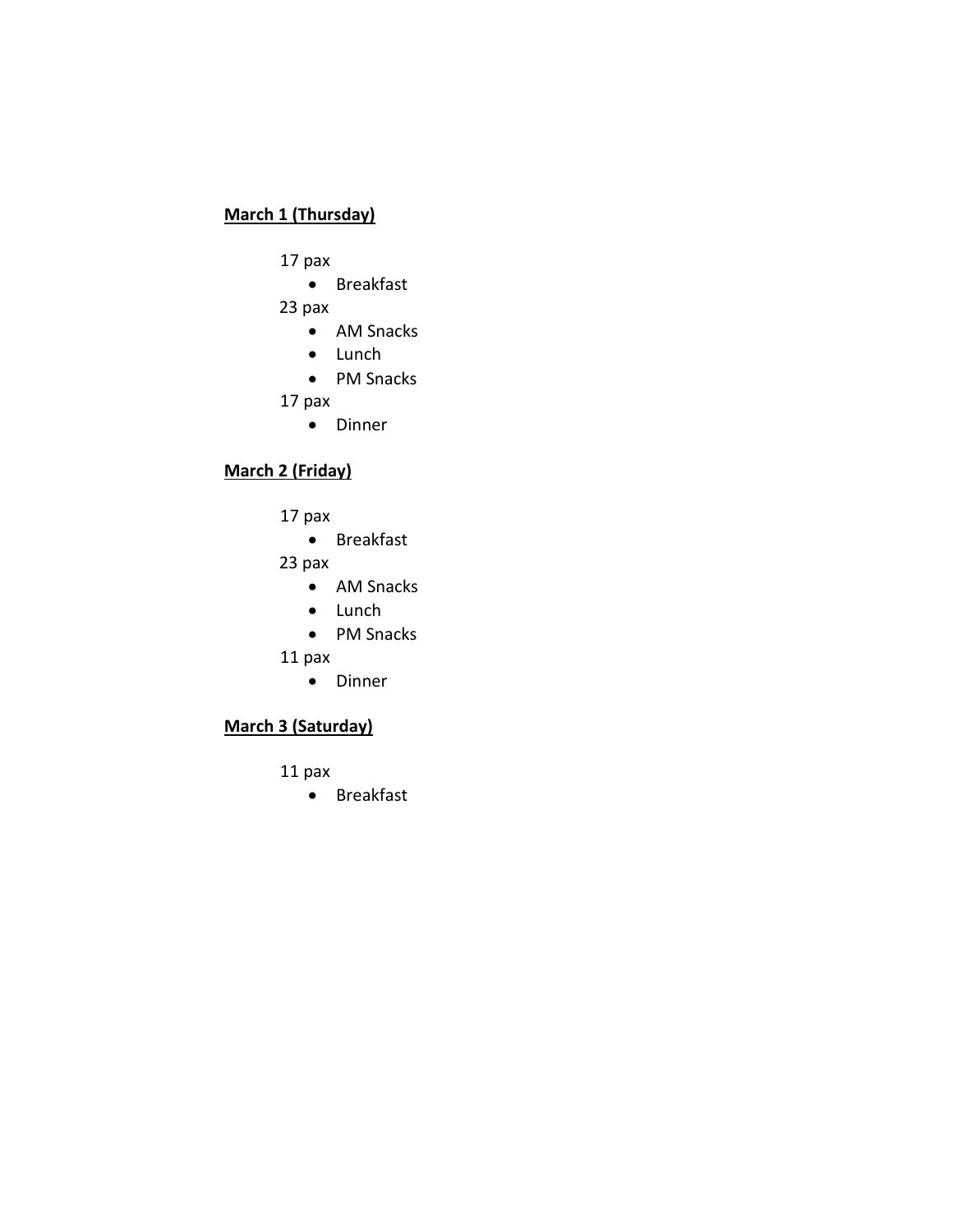## **March 1 (Thursday)**

- 17 pax
	- Breakfast
- 23 pax
	- AM Snacks
	- Lunch
	- PM Snacks
- 17 pax
	- Dinner

## **March 2 (Friday)**

- 17 pax
	- Breakfast
- 23 pax
	- AM Snacks
	- Lunch
	- PM Snacks
- 11 pax
	- Dinner

## **March 3 (Saturday)**

- 11 pax
	- Breakfast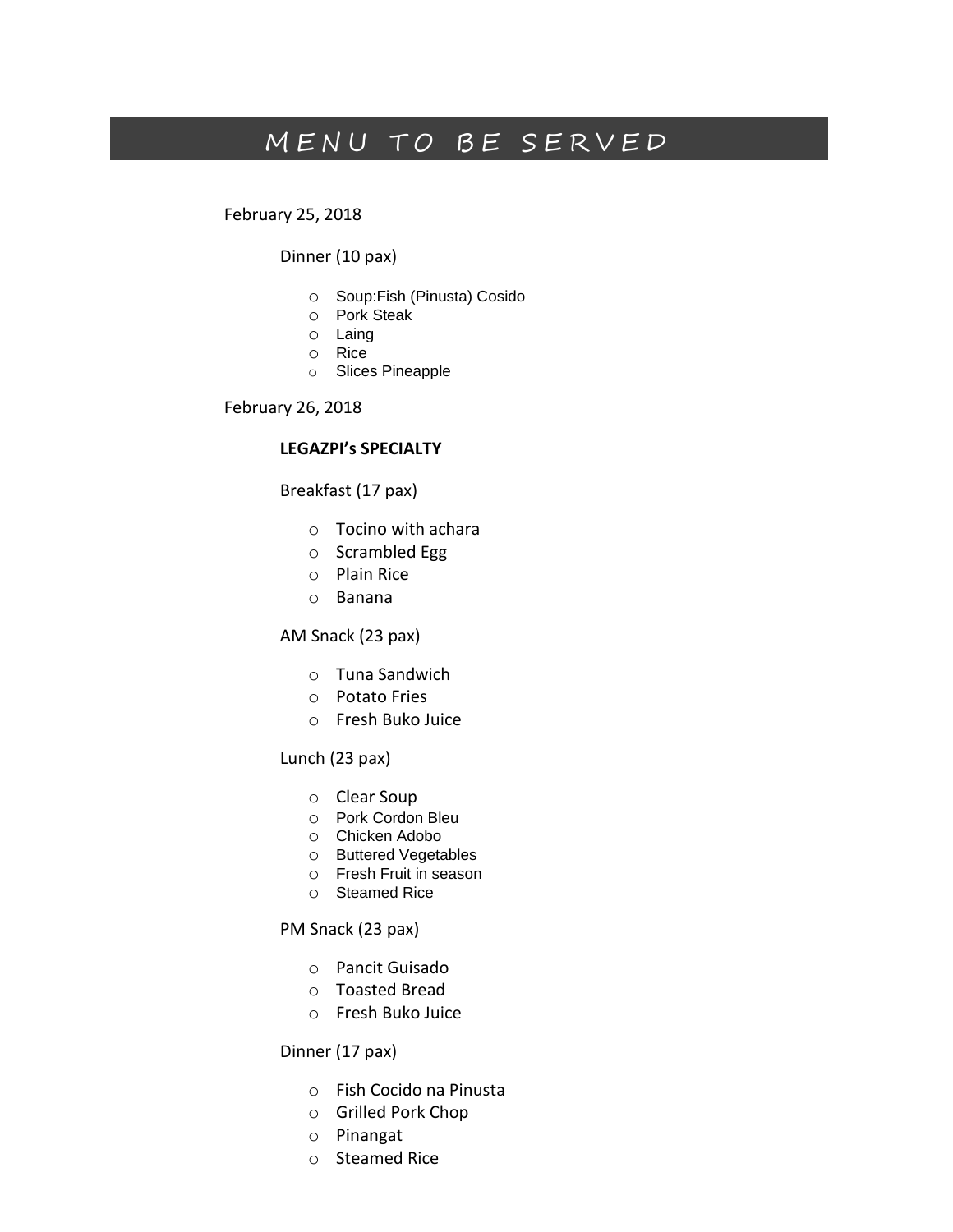# MENU TO BE SERVED

February 25, 2018

Dinner (10 pax)

- o Soup:Fish (Pinusta) Cosido
- o Pork Steak
- o Laing
- o Rice
- o Slices Pineapple

February 26, 2018

#### **LEGAZPI's SPECIALTY**

#### Breakfast (17 pax)

- o Tocino with achara
- o Scrambled Egg
- o Plain Rice
- o Banana

#### AM Snack (23 pax)

- o Tuna Sandwich
- o Potato Fries
- o Fresh Buko Juice

#### Lunch (23 pax)

- o Clear Soup
- o Pork Cordon Bleu
- o Chicken Adobo
- o Buttered Vegetables
- o Fresh Fruit in season
- o Steamed Rice

#### PM Snack (23 pax)

- o Pancit Guisado
- o Toasted Bread
- o Fresh Buko Juice

#### Dinner (17 pax)

- o Fish Cocido na Pinusta
- o Grilled Pork Chop
- o Pinangat
- o Steamed Rice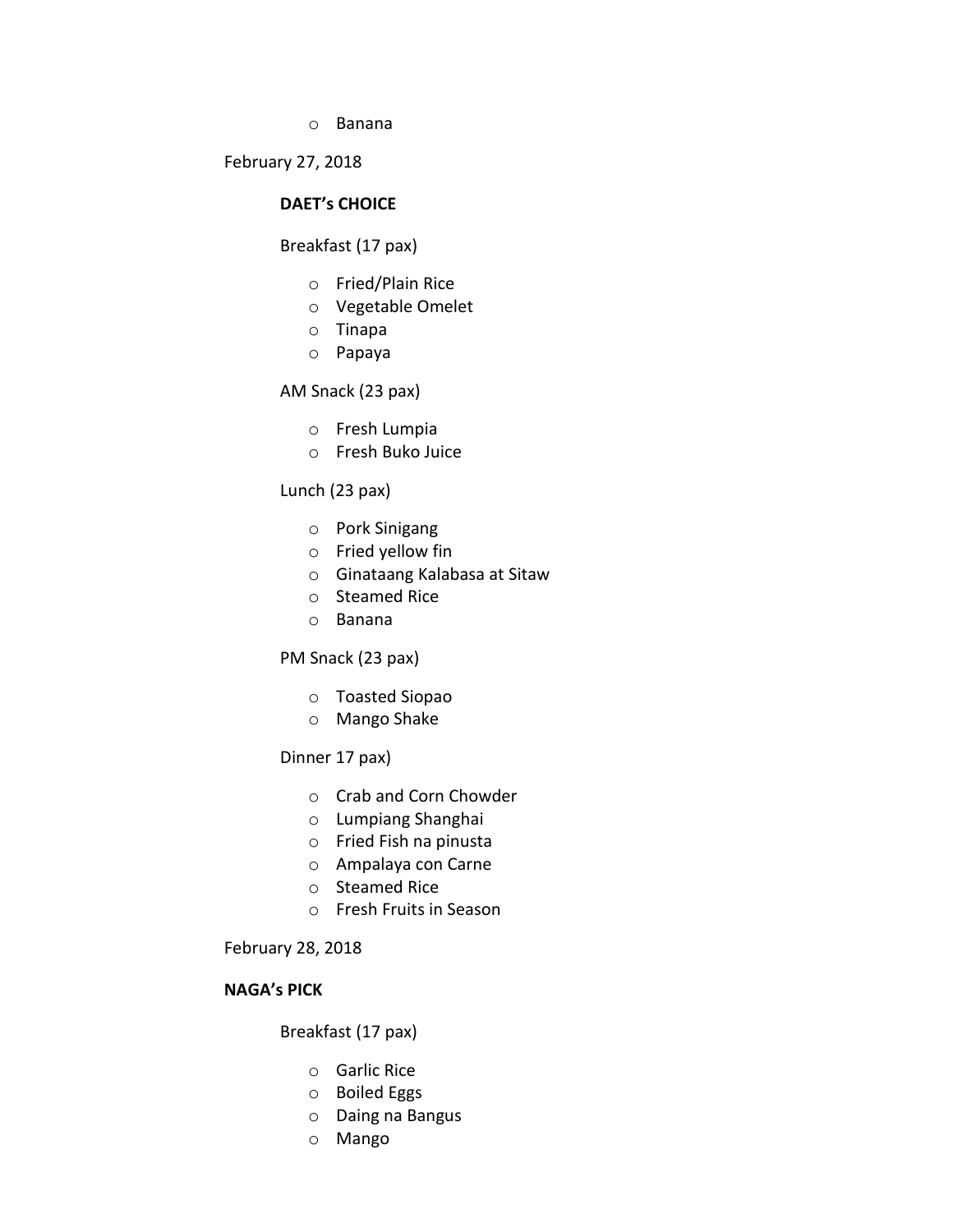o Banana

February 27, 2018

#### **DAET's CHOICE**

#### Breakfast (17 pax)

- o Fried/Plain Rice
- o Vegetable Omelet
- o Tinapa
- o Papaya

#### AM Snack (23 pax)

- o Fresh Lumpia
- o Fresh Buko Juice

#### Lunch (23 pax)

- o Pork Sinigang
- o Fried yellow fin
- o Ginataang Kalabasa at Sitaw
- o Steamed Rice
- o Banana

#### PM Snack (23 pax)

- o Toasted Siopao
- o Mango Shake

#### Dinner 17 pax)

- o Crab and Corn Chowder
- o Lumpiang Shanghai
- o Fried Fish na pinusta
- o Ampalaya con Carne
- o Steamed Rice
- o Fresh Fruits in Season

#### February 28, 2018

#### **NAGA's PICK**

#### Breakfast (17 pax)

- o Garlic Rice
- o Boiled Eggs
- o Daing na Bangus
- o Mango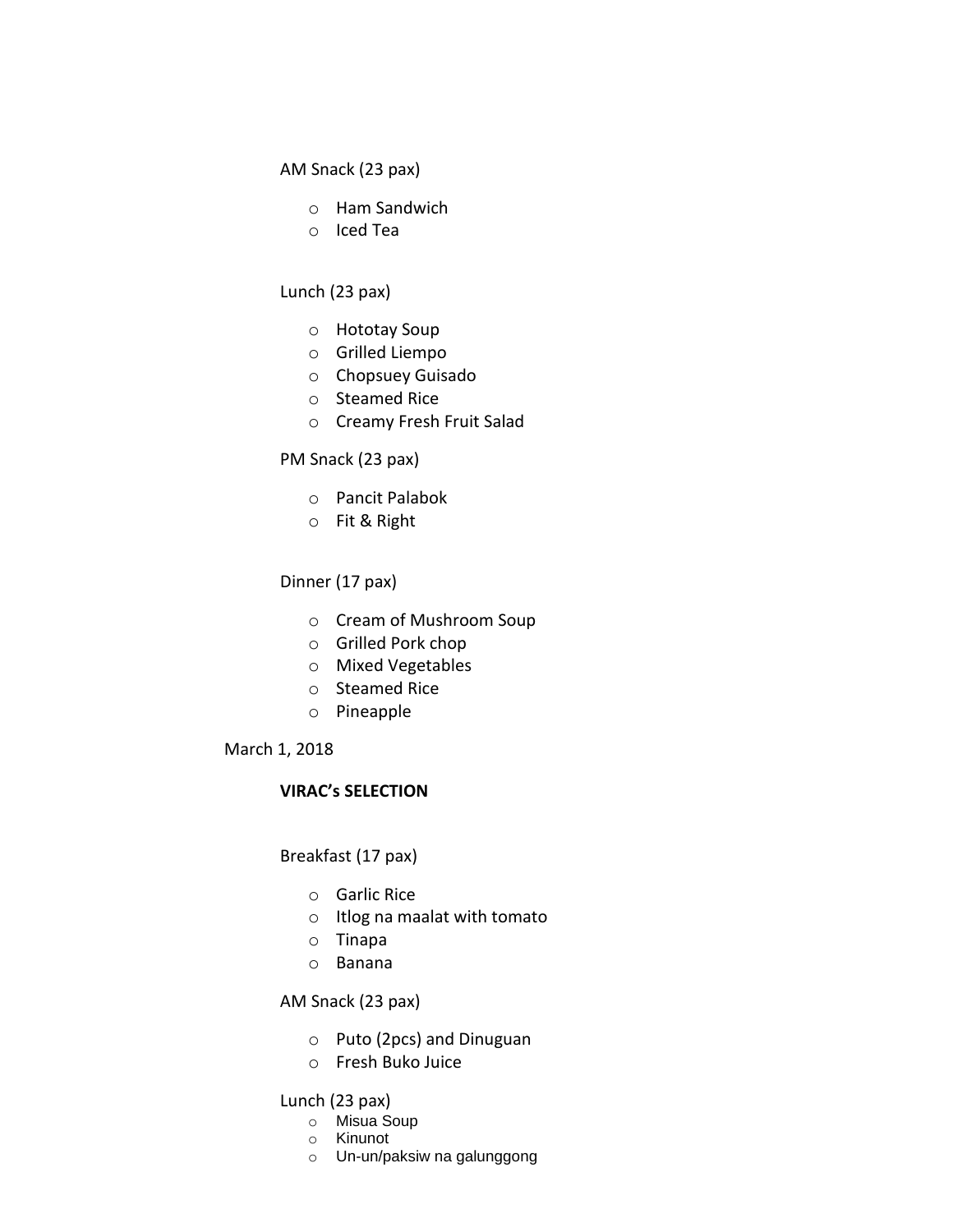#### AM Snack (23 pax)

- o Ham Sandwich
- o Iced Tea

#### Lunch (23 pax)

- o Hototay Soup
- o Grilled Liempo
- o Chopsuey Guisado
- o Steamed Rice
- o Creamy Fresh Fruit Salad

#### PM Snack (23 pax)

- o Pancit Palabok
- o Fit & Right

#### Dinner (17 pax)

- o Cream of Mushroom Soup
- o Grilled Pork chop
- o Mixed Vegetables
- o Steamed Rice
- o Pineapple

#### March 1, 2018

#### **VIRAC's SELECTION**

#### Breakfast (17 pax)

- o Garlic Rice
- o Itlog na maalat with tomato
- o Tinapa
- o Banana

#### AM Snack (23 pax)

- o Puto (2pcs) and Dinuguan
- o Fresh Buko Juice

#### Lunch (23 pax)

- o Misua Soup
- o Kinunot
- o Un-un/paksiw na galunggong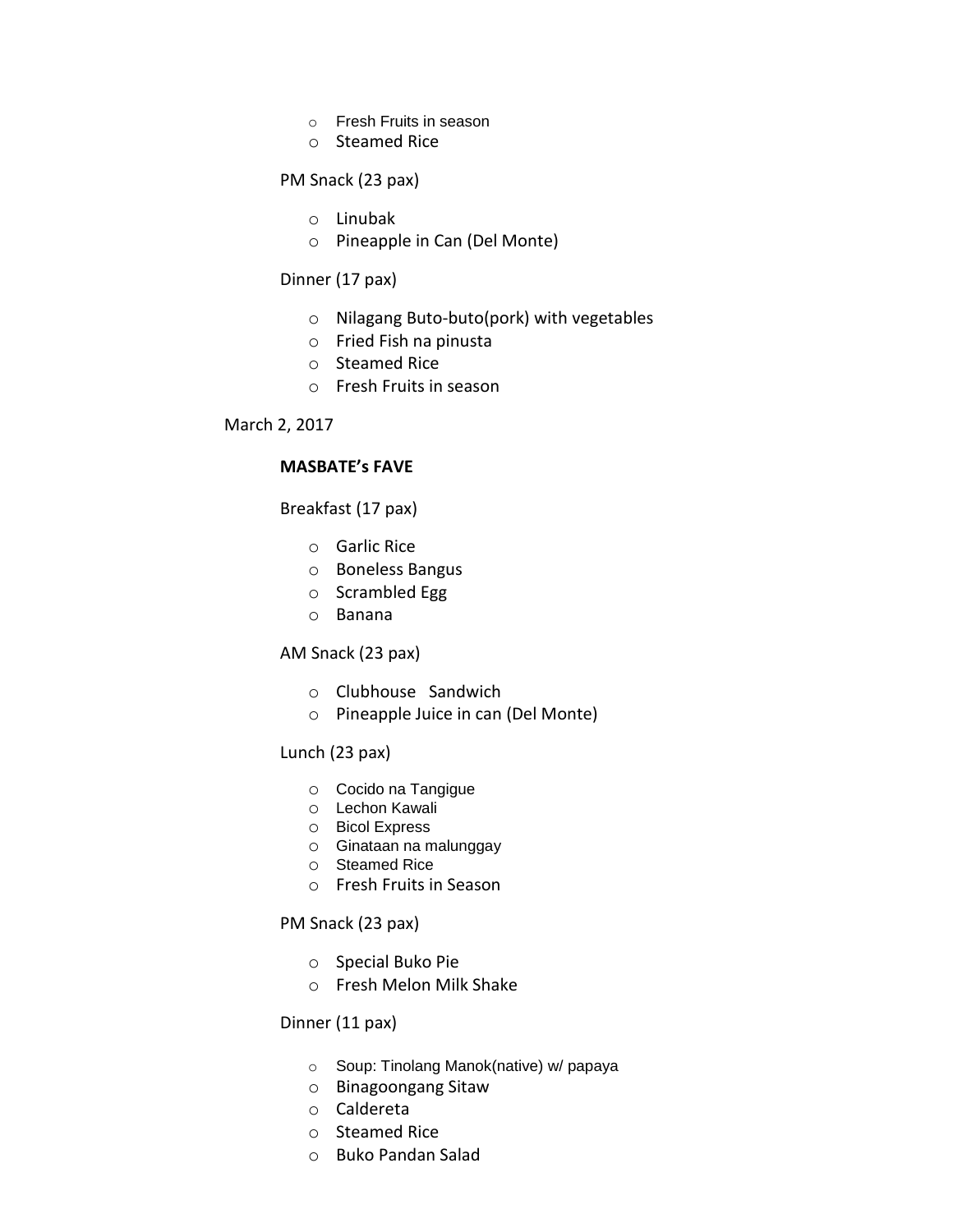- o Fresh Fruits in season
- o Steamed Rice

#### PM Snack (23 pax)

- o Linubak
- o Pineapple in Can (Del Monte)

#### Dinner (17 pax)

- o Nilagang Buto-buto(pork) with vegetables
- o Fried Fish na pinusta
- o Steamed Rice
- o Fresh Fruits in season

#### March 2, 2017

#### **MASBATE's FAVE**

Breakfast (17 pax)

- o Garlic Rice
- o Boneless Bangus
- o Scrambled Egg
- o Banana

#### AM Snack (23 pax)

- o Clubhouse Sandwich
- o Pineapple Juice in can (Del Monte)

#### Lunch (23 pax)

- o Cocido na Tangigue
- o Lechon Kawali
- o Bicol Express
- o Ginataan na malunggay
- o Steamed Rice
- o Fresh Fruits in Season

#### PM Snack (23 pax)

- o Special Buko Pie
- o Fresh Melon Milk Shake

#### Dinner (11 pax)

- o Soup: Tinolang Manok(native) w/ papaya
- o Binagoongang Sitaw
- o Caldereta
- o Steamed Rice
- o Buko Pandan Salad